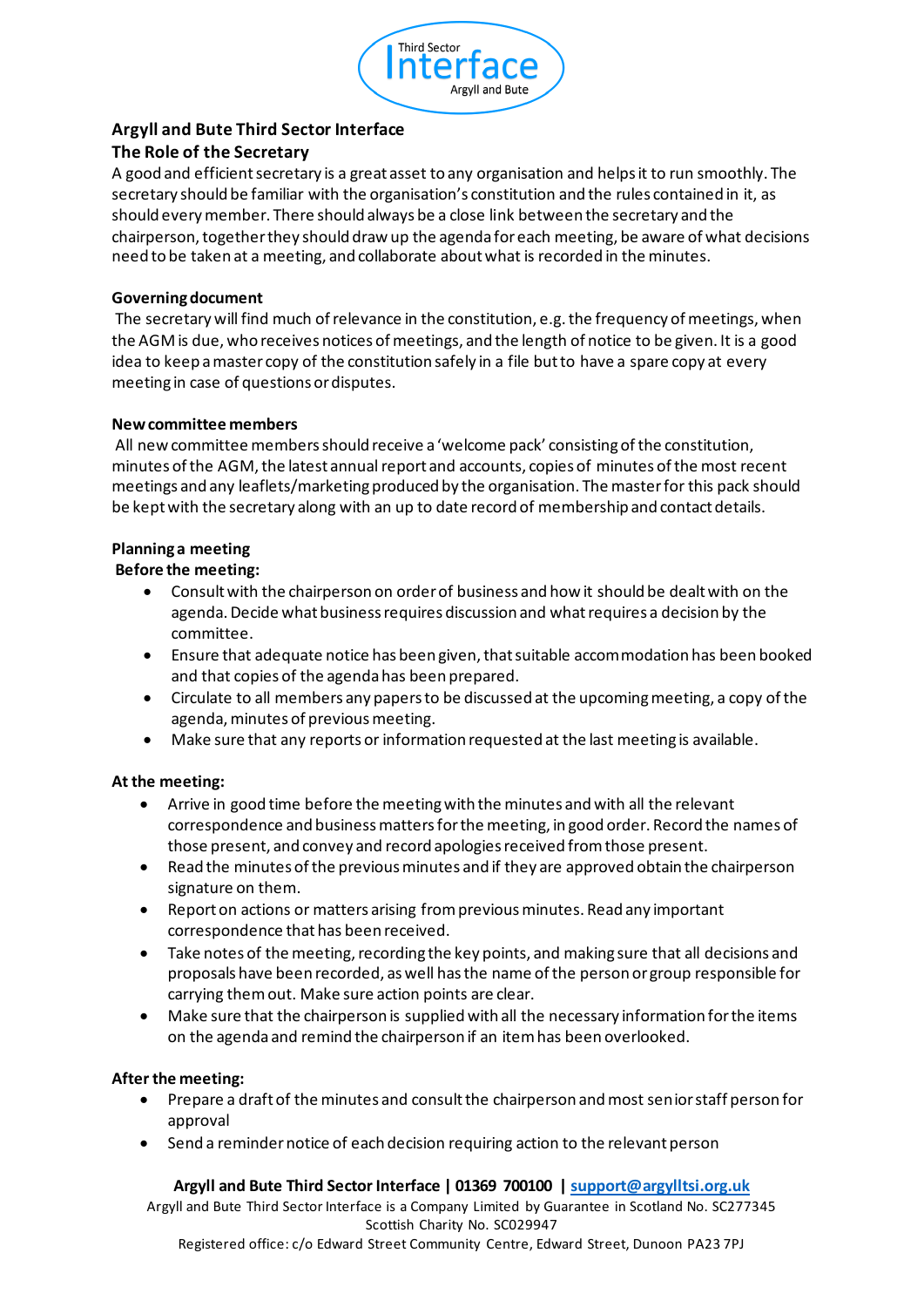

## **Argyll and Bute Third Sector Interface**

## **The Role of the Secretary**

A good and efficient secretary is a great asset to any organisation and helps it to run smoothly. The secretary should be familiar with the organisation's constitution and the rules contained in it, as should every member. There should always be a close link between the secretary and the chairperson, together they should draw up the agenda for each meeting, be aware of what decisions need to be taken at a meeting, and collaborate about what is recorded in the minutes.

## **Governing document**

The secretary will find much of relevance in the constitution, e.g. the frequency of meetings, when the AGM is due, who receives notices of meetings, and the length of notice to be given. It is a good idea to keep a master copy of the constitution safely in a file but to have a spare copy at every meeting in case of questions or disputes.

## **New committee members**

All new committee members should receive a 'welcome pack' consisting of the constitution, minutes of the AGM, the latest annual report and accounts, copies of minutes of the most recent meetings and any leaflets/marketing produced by the organisation. The master for this pack should be kept with the secretary along with an up to date record of membership and contact details.

## **Planning a meeting**

## **Before the meeting:**

- Consult with the chairperson on order of business and how it should be dealt with on the agenda. Decide what business requires discussion and what requires a decision by the committee.
- Ensure that adequate notice has been given, that suitable accommodation has been booked and that copies of the agenda has been prepared.
- Circulate to all members any papers to be discussed at the upcoming meeting, a copy of the agenda, minutes of previous meeting.
- Make sure that any reports or information requested at the last meeting is available.

## **At the meeting:**

- Arrive in good time before the meeting with the minutes and with all the relevant correspondence and business matters for the meeting, in good order. Record the names of those present, and convey and record apologies received from those present.
- Read the minutes of the previous minutes and if they are approved obtain the chairperson signature on them.
- Report on actions or matters arising from previous minutes. Read any important correspondence that has been received.
- Take notes of the meeting, recording the key points, and making sure that all decisions and proposals have been recorded, as well has the name of the person or group responsible for carrying them out. Make sure action points are clear.
- Make sure that the chairperson is supplied with all the necessary information for the items on the agenda and remind the chairperson if an item has been overlooked.

#### **After the meeting:**

- Prepare a draft of the minutes and consult the chairperson and most senior staff person for approval
- Send a reminder notice of each decision requiring action to the relevant person

## **Argyll and Bute Third Sector Interface | 01369 700100 | support@argylltsi.org.uk**

Argyll and Bute Third Sector Interface is a Company Limited by Guarantee in Scotland No. SC277345 Scottish Charity No. SC029947

Registered office: c/o Edward Street Community Centre, Edward Street, Dunoon PA23 7PJ